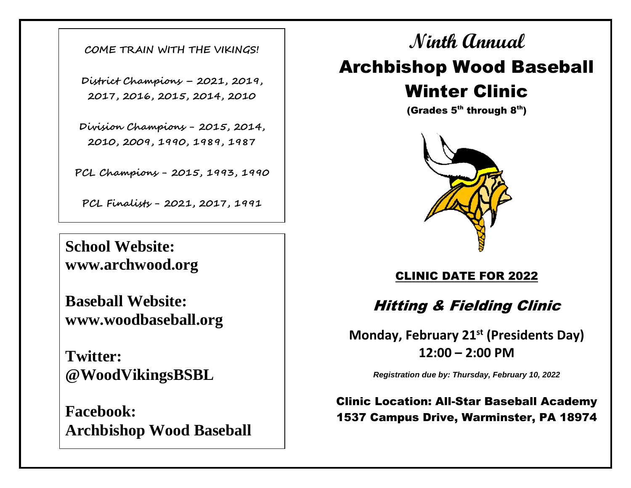**COME TRAIN WITH THE VIKINGS!**

**District Champions – 2021, 2019, 2017, 2016, 2015, 2014, 2010**

**Division Champions - 2015, 2014, 2010, 2009, 1990, 1989, 1987**

**PCL Champions - 2015, 1993, 1990**

**PCL Finalists - 2021, 2017, 1991**

**School Website: www.archwood.org**

**Baseball Website: www.woodbaseball.org**

**Twitter: @WoodVikingsBSBL**

**Facebook: Archbishop Wood Baseball**

**Ninth Annual** Archbishop Wood Baseball Winter Clinic

(Grades  $5<sup>th</sup>$  through  $8<sup>th</sup>$ )



CLINIC DATE FOR 2022

Hitting & Fielding Clinic

**Monday, February 21st (Presidents Day) 12:00 – 2:00 PM**

*Registration due by: Thursday, February 10, 2022*

Clinic Location: All-Star Baseball Academy 1537 Campus Drive, Warminster, PA 18974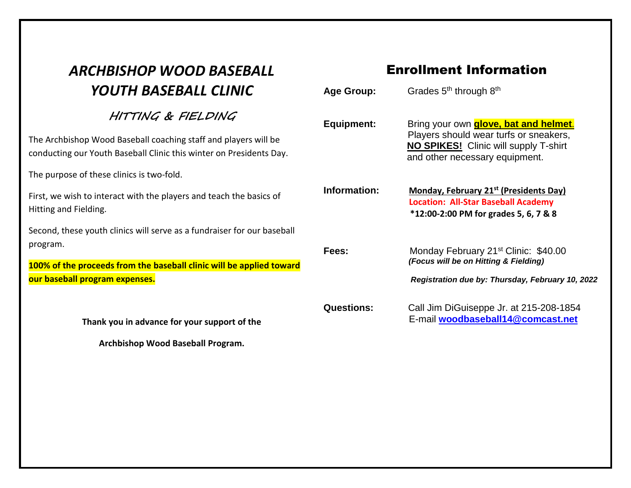## *ARCHBISHOP WOOD BASEBALL YOUTH BASEBALL CLINIC*

## **HITTING & FIELDING**

The Archbishop Wood Baseball coaching staff and players will be conducting our Youth Baseball Clinic this winter on Presidents Day.

The purpose of these clinics is two-fold.

First, we wish to interact with the players and teach the basics of Hitting and Fielding.

Second, these youth clinics will serve as a fundraiser for our baseball program.

**100% of the proceeds from the baseball clinic will be applied toward our baseball program expenses.** 

**Thank you in advance for your support of the** 

**Archbishop Wood Baseball Program.**

## Enrollment Information

| <b>Age Group:</b> | Grades 5 <sup>th</sup> through 8 <sup>th</sup>                                                                                                                           |
|-------------------|--------------------------------------------------------------------------------------------------------------------------------------------------------------------------|
| <b>Equipment:</b> | Bring your own <b>glove, bat and helmet.</b><br>Players should wear turfs or sneakers,<br><b>NO SPIKES!</b> Clinic will supply T-shirt<br>and other necessary equipment. |
| Information:      | Monday, February 21 <sup>st</sup> (Presidents Day)<br><b>Location: All-Star Baseball Academy</b><br>*12:00-2:00 PM for grades 5, 6, 7 & 8                                |
| Fees:             | Monday February 21 <sup>st</sup> Clinic: \$40.00<br>(Focus will be on Hitting & Fielding)<br>Registration due by: Thursday, February 10, 2022                            |
| <b>Questions:</b> | Call Jim DiGuiseppe Jr. at 215-208-1854<br>E-mail woodbaseball14@comcast.net                                                                                             |